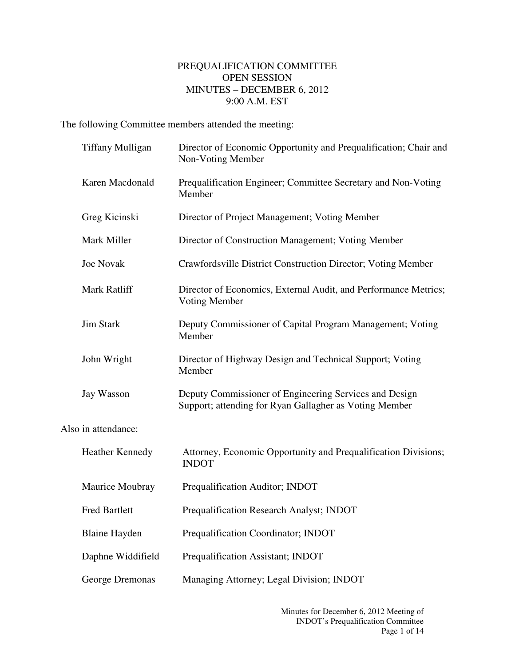## PREQUALIFICATION COMMITTEE OPEN SESSION MINUTES – DECEMBER 6, 2012 9:00 A.M. EST

The following Committee members attended the meeting:

|                     | <b>Tiffany Mulligan</b> | Director of Economic Opportunity and Prequalification; Chair and<br>Non-Voting Member                            |
|---------------------|-------------------------|------------------------------------------------------------------------------------------------------------------|
|                     | Karen Macdonald         | Prequalification Engineer; Committee Secretary and Non-Voting<br>Member                                          |
|                     | Greg Kicinski           | Director of Project Management; Voting Member                                                                    |
|                     | Mark Miller             | Director of Construction Management; Voting Member                                                               |
|                     | <b>Joe Novak</b>        | Crawfordsville District Construction Director; Voting Member                                                     |
|                     | Mark Ratliff            | Director of Economics, External Audit, and Performance Metrics;<br><b>Voting Member</b>                          |
|                     | <b>Jim Stark</b>        | Deputy Commissioner of Capital Program Management; Voting<br>Member                                              |
|                     | John Wright             | Director of Highway Design and Technical Support; Voting<br>Member                                               |
|                     | Jay Wasson              | Deputy Commissioner of Engineering Services and Design<br>Support; attending for Ryan Gallagher as Voting Member |
| Also in attendance: |                         |                                                                                                                  |
|                     | <b>Heather Kennedy</b>  | Attorney, Economic Opportunity and Prequalification Divisions;<br><b>INDOT</b>                                   |
|                     | Maurice Moubray         | Prequalification Auditor; INDOT                                                                                  |
|                     | <b>Fred Bartlett</b>    | Prequalification Research Analyst; INDOT                                                                         |
|                     | <b>Blaine Hayden</b>    | Prequalification Coordinator; INDOT                                                                              |
|                     | Daphne Widdifield       | Prequalification Assistant; INDOT                                                                                |
|                     | George Dremonas         | Managing Attorney; Legal Division; INDOT                                                                         |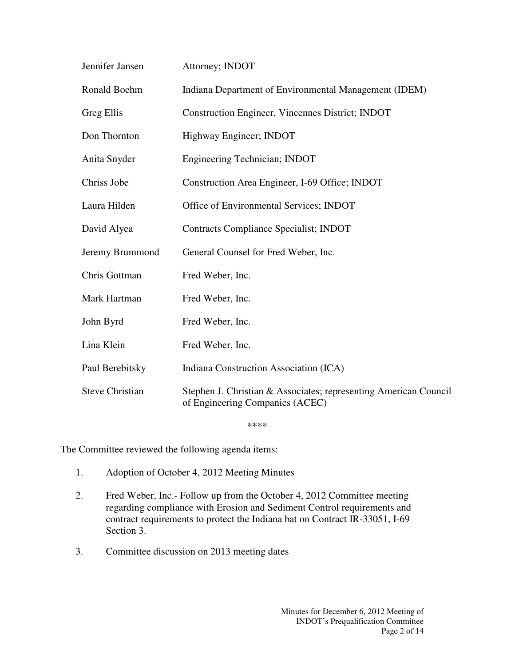| Jennifer Jansen        | Attorney; INDOT                                                                                     |
|------------------------|-----------------------------------------------------------------------------------------------------|
| Ronald Boehm           | Indiana Department of Environmental Management (IDEM)                                               |
| Greg Ellis             | Construction Engineer, Vincennes District; INDOT                                                    |
| Don Thornton           | Highway Engineer; INDOT                                                                             |
| Anita Snyder           | Engineering Technician; INDOT                                                                       |
| Chriss Jobe            | Construction Area Engineer, I-69 Office; INDOT                                                      |
| Laura Hilden           | Office of Environmental Services; INDOT                                                             |
| David Alyea            | Contracts Compliance Specialist; INDOT                                                              |
| Jeremy Brummond        | General Counsel for Fred Weber, Inc.                                                                |
| Chris Gottman          | Fred Weber, Inc.                                                                                    |
| Mark Hartman           | Fred Weber, Inc.                                                                                    |
| John Byrd              | Fred Weber, Inc.                                                                                    |
| Lina Klein             | Fred Weber, Inc.                                                                                    |
| Paul Berebitsky        | Indiana Construction Association (ICA)                                                              |
| <b>Steve Christian</b> | Stephen J. Christian & Associates; representing American Council<br>of Engineering Companies (ACEC) |

\*\*\*\*

The Committee reviewed the following agenda items:

- 1. Adoption of October 4, 2012 Meeting Minutes
- 2. Fred Weber, Inc.- Follow up from the October 4, 2012 Committee meeting regarding compliance with Erosion and Sediment Control requirements and contract requirements to protect the Indiana bat on Contract IR-33051, I-69 Section 3.
- 3. Committee discussion on 2013 meeting dates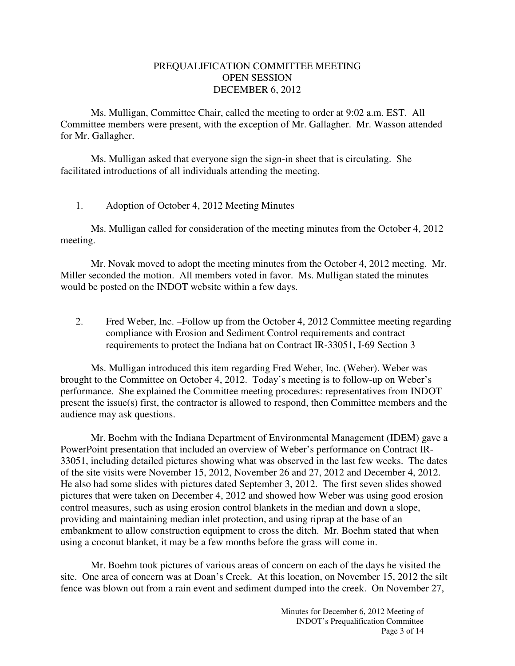## PREQUALIFICATION COMMITTEE MEETING OPEN SESSION DECEMBER 6, 2012

 Ms. Mulligan, Committee Chair, called the meeting to order at 9:02 a.m. EST. All Committee members were present, with the exception of Mr. Gallagher. Mr. Wasson attended for Mr. Gallagher.

Ms. Mulligan asked that everyone sign the sign-in sheet that is circulating. She facilitated introductions of all individuals attending the meeting.

## 1. Adoption of October 4, 2012 Meeting Minutes

 Ms. Mulligan called for consideration of the meeting minutes from the October 4, 2012 meeting.

 Mr. Novak moved to adopt the meeting minutes from the October 4, 2012 meeting. Mr. Miller seconded the motion. All members voted in favor. Ms. Mulligan stated the minutes would be posted on the INDOT website within a few days.

2. Fred Weber, Inc. –Follow up from the October 4, 2012 Committee meeting regarding compliance with Erosion and Sediment Control requirements and contract requirements to protect the Indiana bat on Contract IR-33051, I-69 Section 3

Ms. Mulligan introduced this item regarding Fred Weber, Inc. (Weber). Weber was brought to the Committee on October 4, 2012. Today's meeting is to follow-up on Weber's performance. She explained the Committee meeting procedures: representatives from INDOT present the issue(s) first, the contractor is allowed to respond, then Committee members and the audience may ask questions.

Mr. Boehm with the Indiana Department of Environmental Management (IDEM) gave a PowerPoint presentation that included an overview of Weber's performance on Contract IR-33051, including detailed pictures showing what was observed in the last few weeks. The dates of the site visits were November 15, 2012, November 26 and 27, 2012 and December 4, 2012. He also had some slides with pictures dated September 3, 2012. The first seven slides showed pictures that were taken on December 4, 2012 and showed how Weber was using good erosion control measures, such as using erosion control blankets in the median and down a slope, providing and maintaining median inlet protection, and using riprap at the base of an embankment to allow construction equipment to cross the ditch. Mr. Boehm stated that when using a coconut blanket, it may be a few months before the grass will come in.

Mr. Boehm took pictures of various areas of concern on each of the days he visited the site. One area of concern was at Doan's Creek. At this location, on November 15, 2012 the silt fence was blown out from a rain event and sediment dumped into the creek. On November 27,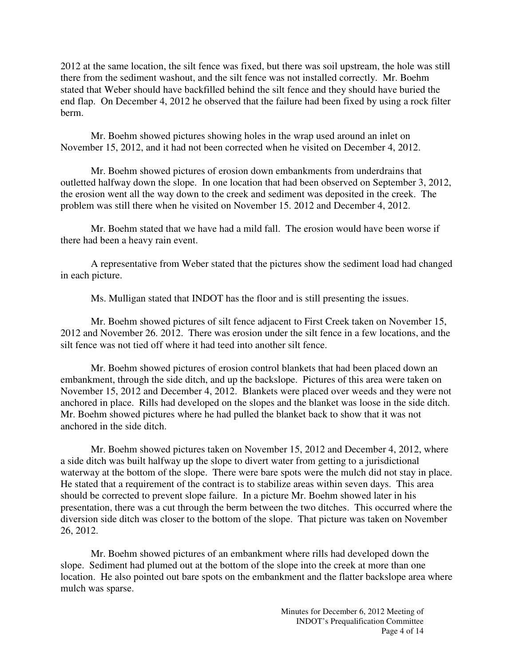2012 at the same location, the silt fence was fixed, but there was soil upstream, the hole was still there from the sediment washout, and the silt fence was not installed correctly. Mr. Boehm stated that Weber should have backfilled behind the silt fence and they should have buried the end flap. On December 4, 2012 he observed that the failure had been fixed by using a rock filter berm.

Mr. Boehm showed pictures showing holes in the wrap used around an inlet on November 15, 2012, and it had not been corrected when he visited on December 4, 2012.

Mr. Boehm showed pictures of erosion down embankments from underdrains that outletted halfway down the slope. In one location that had been observed on September 3, 2012, the erosion went all the way down to the creek and sediment was deposited in the creek. The problem was still there when he visited on November 15. 2012 and December 4, 2012.

Mr. Boehm stated that we have had a mild fall. The erosion would have been worse if there had been a heavy rain event.

A representative from Weber stated that the pictures show the sediment load had changed in each picture.

Ms. Mulligan stated that INDOT has the floor and is still presenting the issues.

Mr. Boehm showed pictures of silt fence adjacent to First Creek taken on November 15, 2012 and November 26. 2012. There was erosion under the silt fence in a few locations, and the silt fence was not tied off where it had teed into another silt fence.

Mr. Boehm showed pictures of erosion control blankets that had been placed down an embankment, through the side ditch, and up the backslope. Pictures of this area were taken on November 15, 2012 and December 4, 2012. Blankets were placed over weeds and they were not anchored in place. Rills had developed on the slopes and the blanket was loose in the side ditch. Mr. Boehm showed pictures where he had pulled the blanket back to show that it was not anchored in the side ditch.

Mr. Boehm showed pictures taken on November 15, 2012 and December 4, 2012, where a side ditch was built halfway up the slope to divert water from getting to a jurisdictional waterway at the bottom of the slope. There were bare spots were the mulch did not stay in place. He stated that a requirement of the contract is to stabilize areas within seven days. This area should be corrected to prevent slope failure. In a picture Mr. Boehm showed later in his presentation, there was a cut through the berm between the two ditches. This occurred where the diversion side ditch was closer to the bottom of the slope. That picture was taken on November 26, 2012.

Mr. Boehm showed pictures of an embankment where rills had developed down the slope. Sediment had plumed out at the bottom of the slope into the creek at more than one location. He also pointed out bare spots on the embankment and the flatter backslope area where mulch was sparse.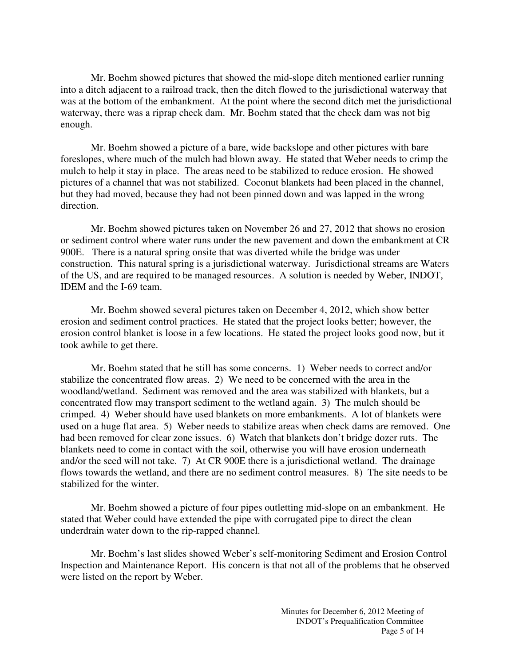Mr. Boehm showed pictures that showed the mid-slope ditch mentioned earlier running into a ditch adjacent to a railroad track, then the ditch flowed to the jurisdictional waterway that was at the bottom of the embankment. At the point where the second ditch met the jurisdictional waterway, there was a riprap check dam. Mr. Boehm stated that the check dam was not big enough.

Mr. Boehm showed a picture of a bare, wide backslope and other pictures with bare foreslopes, where much of the mulch had blown away. He stated that Weber needs to crimp the mulch to help it stay in place. The areas need to be stabilized to reduce erosion. He showed pictures of a channel that was not stabilized. Coconut blankets had been placed in the channel, but they had moved, because they had not been pinned down and was lapped in the wrong direction.

Mr. Boehm showed pictures taken on November 26 and 27, 2012 that shows no erosion or sediment control where water runs under the new pavement and down the embankment at CR 900E. There is a natural spring onsite that was diverted while the bridge was under construction. This natural spring is a jurisdictional waterway. Jurisdictional streams are Waters of the US, and are required to be managed resources. A solution is needed by Weber, INDOT, IDEM and the I-69 team.

Mr. Boehm showed several pictures taken on December 4, 2012, which show better erosion and sediment control practices. He stated that the project looks better; however, the erosion control blanket is loose in a few locations. He stated the project looks good now, but it took awhile to get there.

Mr. Boehm stated that he still has some concerns. 1) Weber needs to correct and/or stabilize the concentrated flow areas. 2) We need to be concerned with the area in the woodland/wetland. Sediment was removed and the area was stabilized with blankets, but a concentrated flow may transport sediment to the wetland again. 3) The mulch should be crimped. 4) Weber should have used blankets on more embankments. A lot of blankets were used on a huge flat area. 5) Weber needs to stabilize areas when check dams are removed. One had been removed for clear zone issues. 6) Watch that blankets don't bridge dozer ruts. The blankets need to come in contact with the soil, otherwise you will have erosion underneath and/or the seed will not take. 7) At CR 900E there is a jurisdictional wetland. The drainage flows towards the wetland, and there are no sediment control measures. 8) The site needs to be stabilized for the winter.

Mr. Boehm showed a picture of four pipes outletting mid-slope on an embankment. He stated that Weber could have extended the pipe with corrugated pipe to direct the clean underdrain water down to the rip-rapped channel.

Mr. Boehm's last slides showed Weber's self-monitoring Sediment and Erosion Control Inspection and Maintenance Report. His concern is that not all of the problems that he observed were listed on the report by Weber.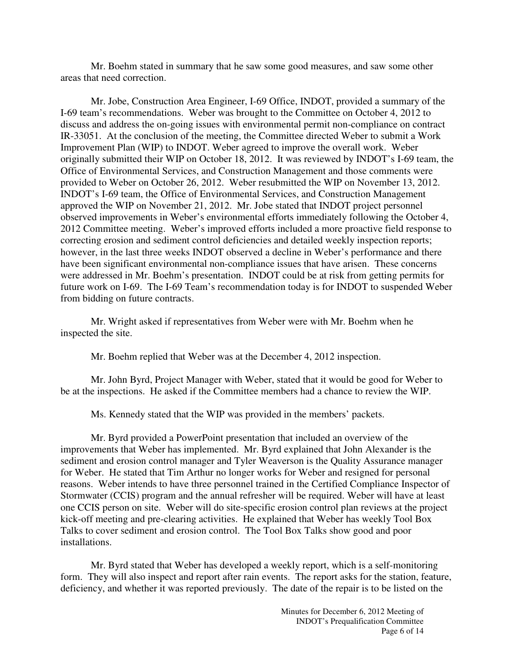Mr. Boehm stated in summary that he saw some good measures, and saw some other areas that need correction.

Mr. Jobe, Construction Area Engineer, I-69 Office, INDOT, provided a summary of the I-69 team's recommendations. Weber was brought to the Committee on October 4, 2012 to discuss and address the on-going issues with environmental permit non-compliance on contract IR-33051. At the conclusion of the meeting, the Committee directed Weber to submit a Work Improvement Plan (WIP) to INDOT. Weber agreed to improve the overall work. Weber originally submitted their WIP on October 18, 2012. It was reviewed by INDOT's I-69 team, the Office of Environmental Services, and Construction Management and those comments were provided to Weber on October 26, 2012. Weber resubmitted the WIP on November 13, 2012. INDOT's I-69 team, the Office of Environmental Services, and Construction Management approved the WIP on November 21, 2012. Mr. Jobe stated that INDOT project personnel observed improvements in Weber's environmental efforts immediately following the October 4, 2012 Committee meeting. Weber's improved efforts included a more proactive field response to correcting erosion and sediment control deficiencies and detailed weekly inspection reports; however, in the last three weeks INDOT observed a decline in Weber's performance and there have been significant environmental non-compliance issues that have arisen. These concerns were addressed in Mr. Boehm's presentation. INDOT could be at risk from getting permits for future work on I-69. The I-69 Team's recommendation today is for INDOT to suspended Weber from bidding on future contracts.

Mr. Wright asked if representatives from Weber were with Mr. Boehm when he inspected the site.

Mr. Boehm replied that Weber was at the December 4, 2012 inspection.

Mr. John Byrd, Project Manager with Weber, stated that it would be good for Weber to be at the inspections. He asked if the Committee members had a chance to review the WIP.

Ms. Kennedy stated that the WIP was provided in the members' packets.

Mr. Byrd provided a PowerPoint presentation that included an overview of the improvements that Weber has implemented. Mr. Byrd explained that John Alexander is the sediment and erosion control manager and Tyler Weaverson is the Quality Assurance manager for Weber. He stated that Tim Arthur no longer works for Weber and resigned for personal reasons. Weber intends to have three personnel trained in the Certified Compliance Inspector of Stormwater (CCIS) program and the annual refresher will be required. Weber will have at least one CCIS person on site. Weber will do site-specific erosion control plan reviews at the project kick-off meeting and pre-clearing activities. He explained that Weber has weekly Tool Box Talks to cover sediment and erosion control. The Tool Box Talks show good and poor installations.

Mr. Byrd stated that Weber has developed a weekly report, which is a self-monitoring form. They will also inspect and report after rain events. The report asks for the station, feature, deficiency, and whether it was reported previously. The date of the repair is to be listed on the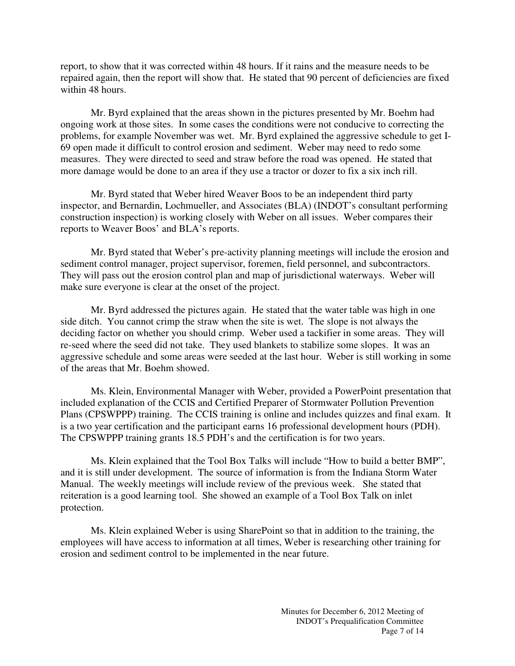report, to show that it was corrected within 48 hours. If it rains and the measure needs to be repaired again, then the report will show that. He stated that 90 percent of deficiencies are fixed within 48 hours.

Mr. Byrd explained that the areas shown in the pictures presented by Mr. Boehm had ongoing work at those sites. In some cases the conditions were not conducive to correcting the problems, for example November was wet. Mr. Byrd explained the aggressive schedule to get I-69 open made it difficult to control erosion and sediment. Weber may need to redo some measures. They were directed to seed and straw before the road was opened. He stated that more damage would be done to an area if they use a tractor or dozer to fix a six inch rill.

Mr. Byrd stated that Weber hired Weaver Boos to be an independent third party inspector, and Bernardin, Lochmueller, and Associates (BLA) (INDOT's consultant performing construction inspection) is working closely with Weber on all issues. Weber compares their reports to Weaver Boos' and BLA's reports.

Mr. Byrd stated that Weber's pre-activity planning meetings will include the erosion and sediment control manager, project supervisor, foremen, field personnel, and subcontractors. They will pass out the erosion control plan and map of jurisdictional waterways. Weber will make sure everyone is clear at the onset of the project.

Mr. Byrd addressed the pictures again. He stated that the water table was high in one side ditch. You cannot crimp the straw when the site is wet. The slope is not always the deciding factor on whether you should crimp. Weber used a tackifier in some areas. They will re-seed where the seed did not take. They used blankets to stabilize some slopes. It was an aggressive schedule and some areas were seeded at the last hour. Weber is still working in some of the areas that Mr. Boehm showed.

Ms. Klein, Environmental Manager with Weber, provided a PowerPoint presentation that included explanation of the CCIS and Certified Preparer of Stormwater Pollution Prevention Plans (CPSWPPP) training. The CCIS training is online and includes quizzes and final exam. It is a two year certification and the participant earns 16 professional development hours (PDH). The CPSWPPP training grants 18.5 PDH's and the certification is for two years.

Ms. Klein explained that the Tool Box Talks will include "How to build a better BMP", and it is still under development. The source of information is from the Indiana Storm Water Manual. The weekly meetings will include review of the previous week. She stated that reiteration is a good learning tool. She showed an example of a Tool Box Talk on inlet protection.

Ms. Klein explained Weber is using SharePoint so that in addition to the training, the employees will have access to information at all times, Weber is researching other training for erosion and sediment control to be implemented in the near future.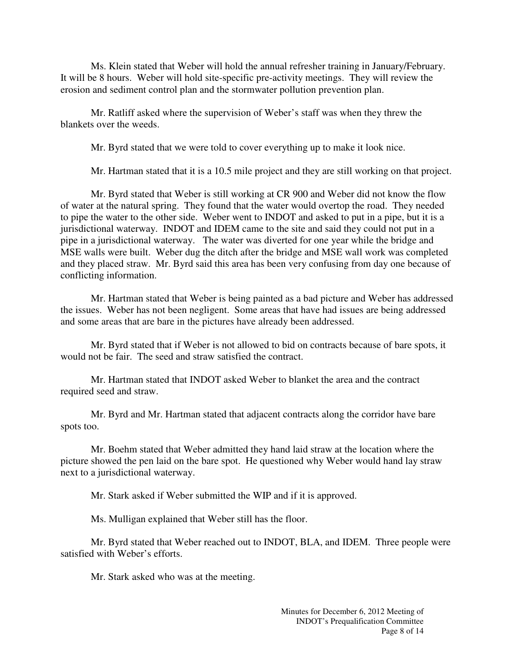Ms. Klein stated that Weber will hold the annual refresher training in January/February. It will be 8 hours. Weber will hold site-specific pre-activity meetings. They will review the erosion and sediment control plan and the stormwater pollution prevention plan.

Mr. Ratliff asked where the supervision of Weber's staff was when they threw the blankets over the weeds.

Mr. Byrd stated that we were told to cover everything up to make it look nice.

Mr. Hartman stated that it is a 10.5 mile project and they are still working on that project.

Mr. Byrd stated that Weber is still working at CR 900 and Weber did not know the flow of water at the natural spring. They found that the water would overtop the road. They needed to pipe the water to the other side. Weber went to INDOT and asked to put in a pipe, but it is a jurisdictional waterway. INDOT and IDEM came to the site and said they could not put in a pipe in a jurisdictional waterway. The water was diverted for one year while the bridge and MSE walls were built. Weber dug the ditch after the bridge and MSE wall work was completed and they placed straw. Mr. Byrd said this area has been very confusing from day one because of conflicting information.

Mr. Hartman stated that Weber is being painted as a bad picture and Weber has addressed the issues. Weber has not been negligent. Some areas that have had issues are being addressed and some areas that are bare in the pictures have already been addressed.

Mr. Byrd stated that if Weber is not allowed to bid on contracts because of bare spots, it would not be fair. The seed and straw satisfied the contract.

Mr. Hartman stated that INDOT asked Weber to blanket the area and the contract required seed and straw.

Mr. Byrd and Mr. Hartman stated that adjacent contracts along the corridor have bare spots too.

Mr. Boehm stated that Weber admitted they hand laid straw at the location where the picture showed the pen laid on the bare spot. He questioned why Weber would hand lay straw next to a jurisdictional waterway.

Mr. Stark asked if Weber submitted the WIP and if it is approved.

Ms. Mulligan explained that Weber still has the floor.

Mr. Byrd stated that Weber reached out to INDOT, BLA, and IDEM. Three people were satisfied with Weber's efforts.

Mr. Stark asked who was at the meeting.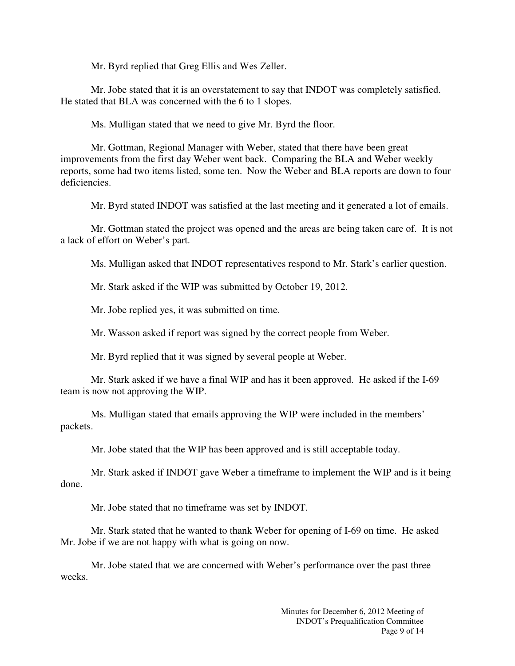Mr. Byrd replied that Greg Ellis and Wes Zeller.

Mr. Jobe stated that it is an overstatement to say that INDOT was completely satisfied. He stated that BLA was concerned with the 6 to 1 slopes.

Ms. Mulligan stated that we need to give Mr. Byrd the floor.

Mr. Gottman, Regional Manager with Weber, stated that there have been great improvements from the first day Weber went back. Comparing the BLA and Weber weekly reports, some had two items listed, some ten. Now the Weber and BLA reports are down to four deficiencies.

Mr. Byrd stated INDOT was satisfied at the last meeting and it generated a lot of emails.

Mr. Gottman stated the project was opened and the areas are being taken care of. It is not a lack of effort on Weber's part.

Ms. Mulligan asked that INDOT representatives respond to Mr. Stark's earlier question.

Mr. Stark asked if the WIP was submitted by October 19, 2012.

Mr. Jobe replied yes, it was submitted on time.

Mr. Wasson asked if report was signed by the correct people from Weber.

Mr. Byrd replied that it was signed by several people at Weber.

Mr. Stark asked if we have a final WIP and has it been approved. He asked if the I-69 team is now not approving the WIP.

Ms. Mulligan stated that emails approving the WIP were included in the members' packets.

Mr. Jobe stated that the WIP has been approved and is still acceptable today.

Mr. Stark asked if INDOT gave Weber a timeframe to implement the WIP and is it being done.

Mr. Jobe stated that no timeframe was set by INDOT.

Mr. Stark stated that he wanted to thank Weber for opening of I-69 on time. He asked Mr. Jobe if we are not happy with what is going on now.

Mr. Jobe stated that we are concerned with Weber's performance over the past three weeks.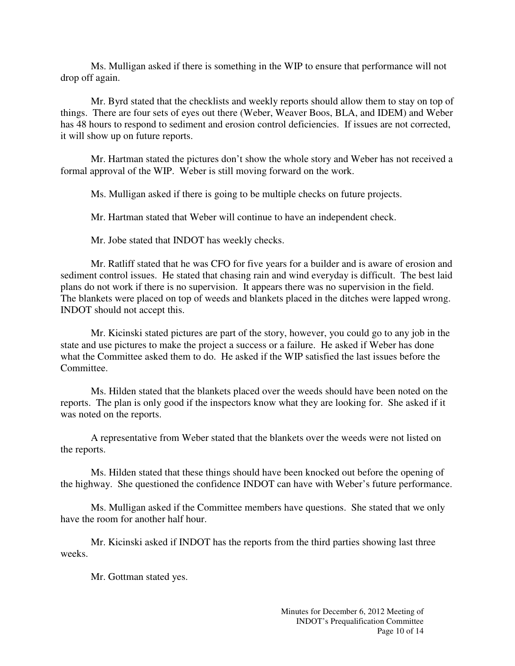Ms. Mulligan asked if there is something in the WIP to ensure that performance will not drop off again.

Mr. Byrd stated that the checklists and weekly reports should allow them to stay on top of things. There are four sets of eyes out there (Weber, Weaver Boos, BLA, and IDEM) and Weber has 48 hours to respond to sediment and erosion control deficiencies. If issues are not corrected, it will show up on future reports.

Mr. Hartman stated the pictures don't show the whole story and Weber has not received a formal approval of the WIP. Weber is still moving forward on the work.

Ms. Mulligan asked if there is going to be multiple checks on future projects.

Mr. Hartman stated that Weber will continue to have an independent check.

Mr. Jobe stated that INDOT has weekly checks.

Mr. Ratliff stated that he was CFO for five years for a builder and is aware of erosion and sediment control issues. He stated that chasing rain and wind everyday is difficult. The best laid plans do not work if there is no supervision. It appears there was no supervision in the field. The blankets were placed on top of weeds and blankets placed in the ditches were lapped wrong. INDOT should not accept this.

Mr. Kicinski stated pictures are part of the story, however, you could go to any job in the state and use pictures to make the project a success or a failure. He asked if Weber has done what the Committee asked them to do. He asked if the WIP satisfied the last issues before the Committee.

Ms. Hilden stated that the blankets placed over the weeds should have been noted on the reports. The plan is only good if the inspectors know what they are looking for. She asked if it was noted on the reports.

A representative from Weber stated that the blankets over the weeds were not listed on the reports.

Ms. Hilden stated that these things should have been knocked out before the opening of the highway. She questioned the confidence INDOT can have with Weber's future performance.

Ms. Mulligan asked if the Committee members have questions. She stated that we only have the room for another half hour.

Mr. Kicinski asked if INDOT has the reports from the third parties showing last three weeks.

Mr. Gottman stated yes.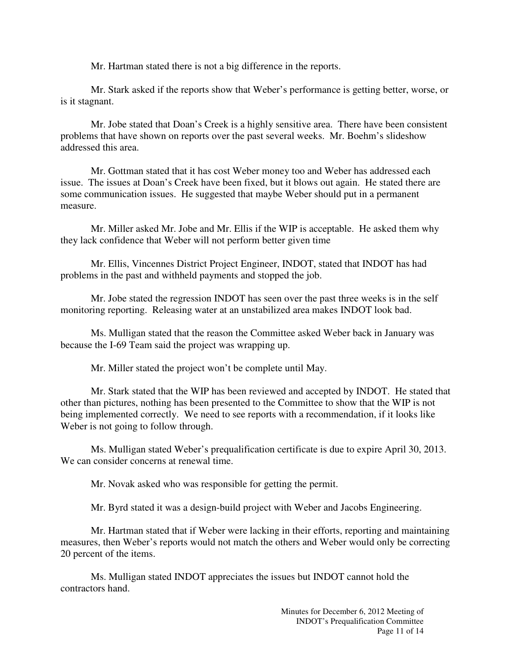Mr. Hartman stated there is not a big difference in the reports.

Mr. Stark asked if the reports show that Weber's performance is getting better, worse, or is it stagnant.

Mr. Jobe stated that Doan's Creek is a highly sensitive area. There have been consistent problems that have shown on reports over the past several weeks. Mr. Boehm's slideshow addressed this area.

Mr. Gottman stated that it has cost Weber money too and Weber has addressed each issue. The issues at Doan's Creek have been fixed, but it blows out again. He stated there are some communication issues. He suggested that maybe Weber should put in a permanent measure.

Mr. Miller asked Mr. Jobe and Mr. Ellis if the WIP is acceptable. He asked them why they lack confidence that Weber will not perform better given time

Mr. Ellis, Vincennes District Project Engineer, INDOT, stated that INDOT has had problems in the past and withheld payments and stopped the job.

Mr. Jobe stated the regression INDOT has seen over the past three weeks is in the self monitoring reporting. Releasing water at an unstabilized area makes INDOT look bad.

Ms. Mulligan stated that the reason the Committee asked Weber back in January was because the I-69 Team said the project was wrapping up.

Mr. Miller stated the project won't be complete until May.

Mr. Stark stated that the WIP has been reviewed and accepted by INDOT. He stated that other than pictures, nothing has been presented to the Committee to show that the WIP is not being implemented correctly. We need to see reports with a recommendation, if it looks like Weber is not going to follow through.

Ms. Mulligan stated Weber's prequalification certificate is due to expire April 30, 2013. We can consider concerns at renewal time.

Mr. Novak asked who was responsible for getting the permit.

Mr. Byrd stated it was a design-build project with Weber and Jacobs Engineering.

Mr. Hartman stated that if Weber were lacking in their efforts, reporting and maintaining measures, then Weber's reports would not match the others and Weber would only be correcting 20 percent of the items.

Ms. Mulligan stated INDOT appreciates the issues but INDOT cannot hold the contractors hand.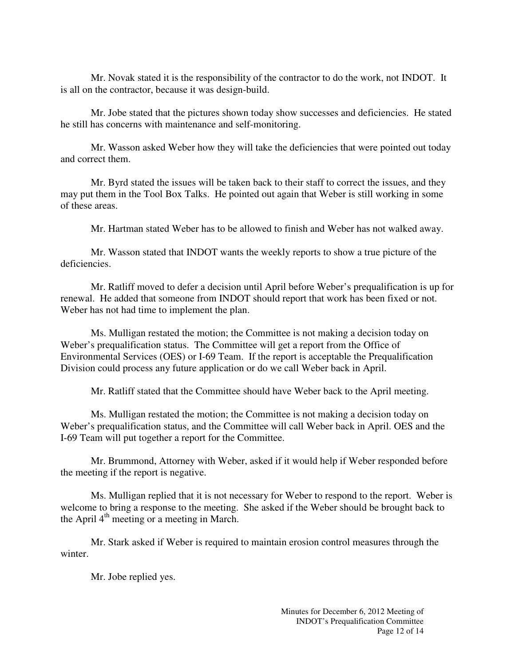Mr. Novak stated it is the responsibility of the contractor to do the work, not INDOT. It is all on the contractor, because it was design-build.

Mr. Jobe stated that the pictures shown today show successes and deficiencies. He stated he still has concerns with maintenance and self-monitoring.

Mr. Wasson asked Weber how they will take the deficiencies that were pointed out today and correct them.

Mr. Byrd stated the issues will be taken back to their staff to correct the issues, and they may put them in the Tool Box Talks. He pointed out again that Weber is still working in some of these areas.

Mr. Hartman stated Weber has to be allowed to finish and Weber has not walked away.

Mr. Wasson stated that INDOT wants the weekly reports to show a true picture of the deficiencies.

Mr. Ratliff moved to defer a decision until April before Weber's prequalification is up for renewal. He added that someone from INDOT should report that work has been fixed or not. Weber has not had time to implement the plan.

Ms. Mulligan restated the motion; the Committee is not making a decision today on Weber's prequalification status. The Committee will get a report from the Office of Environmental Services (OES) or I-69 Team. If the report is acceptable the Prequalification Division could process any future application or do we call Weber back in April.

Mr. Ratliff stated that the Committee should have Weber back to the April meeting.

Ms. Mulligan restated the motion; the Committee is not making a decision today on Weber's prequalification status, and the Committee will call Weber back in April. OES and the I-69 Team will put together a report for the Committee.

Mr. Brummond, Attorney with Weber, asked if it would help if Weber responded before the meeting if the report is negative.

Ms. Mulligan replied that it is not necessary for Weber to respond to the report. Weber is welcome to bring a response to the meeting. She asked if the Weber should be brought back to the April  $4<sup>th</sup>$  meeting or a meeting in March.

Mr. Stark asked if Weber is required to maintain erosion control measures through the winter.

Mr. Jobe replied yes.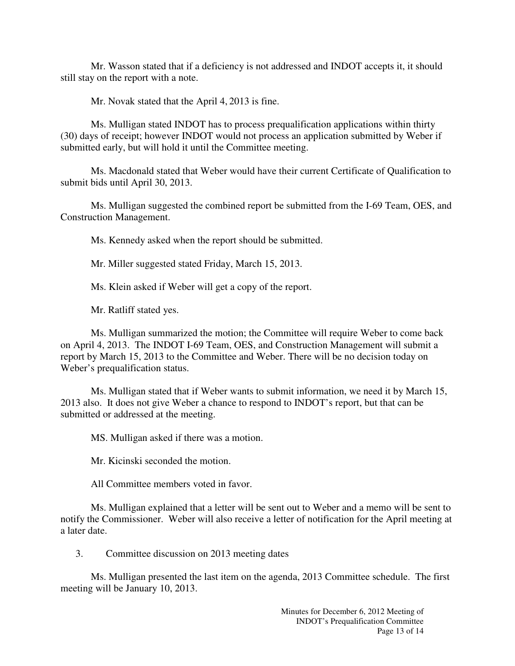Mr. Wasson stated that if a deficiency is not addressed and INDOT accepts it, it should still stay on the report with a note.

Mr. Novak stated that the April 4, 2013 is fine.

Ms. Mulligan stated INDOT has to process prequalification applications within thirty (30) days of receipt; however INDOT would not process an application submitted by Weber if submitted early, but will hold it until the Committee meeting.

Ms. Macdonald stated that Weber would have their current Certificate of Qualification to submit bids until April 30, 2013.

Ms. Mulligan suggested the combined report be submitted from the I-69 Team, OES, and Construction Management.

Ms. Kennedy asked when the report should be submitted.

Mr. Miller suggested stated Friday, March 15, 2013.

Ms. Klein asked if Weber will get a copy of the report.

Mr. Ratliff stated yes.

Ms. Mulligan summarized the motion; the Committee will require Weber to come back on April 4, 2013. The INDOT I-69 Team, OES, and Construction Management will submit a report by March 15, 2013 to the Committee and Weber. There will be no decision today on Weber's prequalification status.

Ms. Mulligan stated that if Weber wants to submit information, we need it by March 15, 2013 also. It does not give Weber a chance to respond to INDOT's report, but that can be submitted or addressed at the meeting.

MS. Mulligan asked if there was a motion.

Mr. Kicinski seconded the motion.

All Committee members voted in favor.

Ms. Mulligan explained that a letter will be sent out to Weber and a memo will be sent to notify the Commissioner. Weber will also receive a letter of notification for the April meeting at a later date.

3. Committee discussion on 2013 meeting dates

Ms. Mulligan presented the last item on the agenda, 2013 Committee schedule. The first meeting will be January 10, 2013.